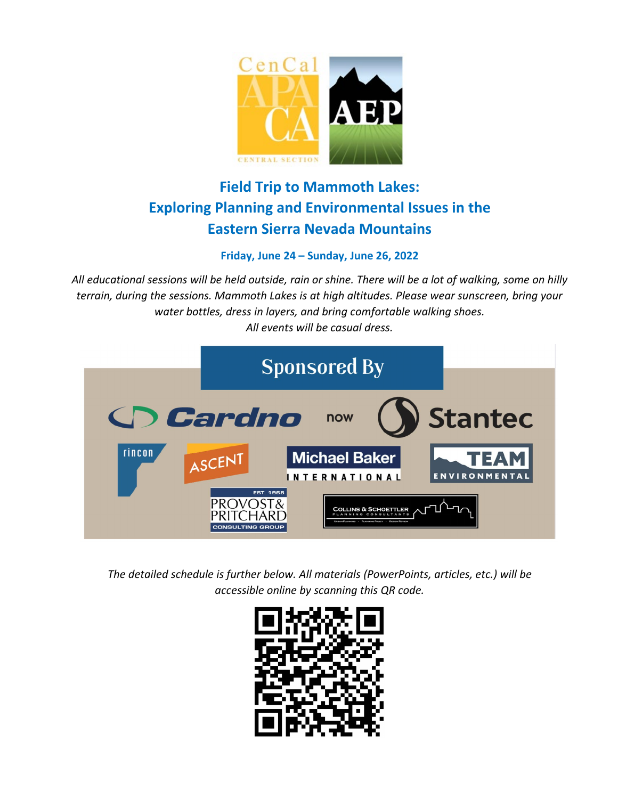

# **Field Trip to Mammoth Lakes: Exploring Planning and Environmental Issues in the Eastern Sierra Nevada Mountains**

### **Friday, June 24 – Sunday, June 26, 2022**

*All educational sessions will be held outside, rain or shine. There will be a lot of walking, some on hilly terrain, during the sessions. Mammoth Lakes is at high altitudes. Please wear sunscreen, bring your water bottles, dress in layers, and bring comfortable walking shoes. All events will be casual dress.*



*The detailed schedule is further below. All materials (PowerPoints, articles, etc.) will be accessible online by scanning this QR code.*

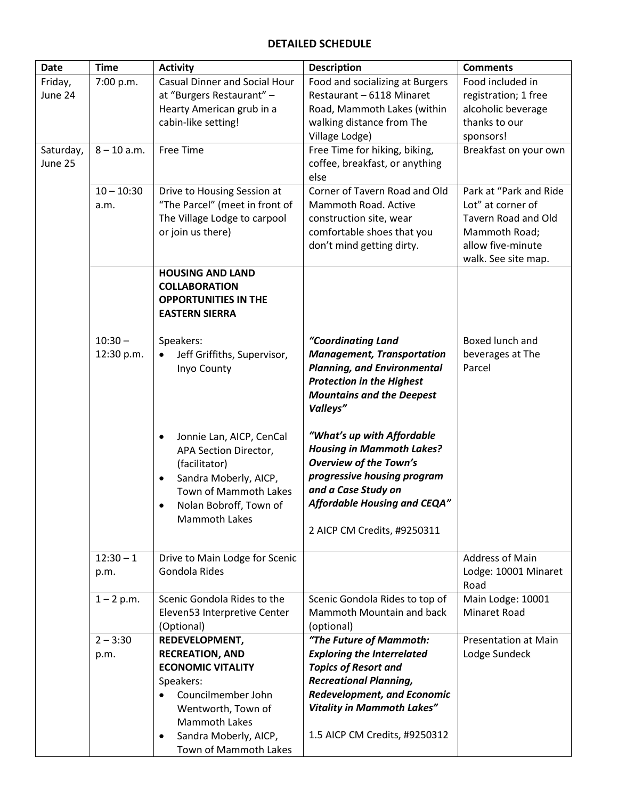### **DETAILED SCHEDULE**

| <b>Date</b>          | <b>Time</b>             | <b>Activity</b>                                                                                                                                                                                                                  | <b>Description</b>                                                                                                                                                                                                                       | <b>Comments</b>                                                                                                                 |
|----------------------|-------------------------|----------------------------------------------------------------------------------------------------------------------------------------------------------------------------------------------------------------------------------|------------------------------------------------------------------------------------------------------------------------------------------------------------------------------------------------------------------------------------------|---------------------------------------------------------------------------------------------------------------------------------|
| Friday,<br>June 24   | 7:00 p.m.               | <b>Casual Dinner and Social Hour</b><br>at "Burgers Restaurant" -<br>Hearty American grub in a<br>cabin-like setting!                                                                                                            | Food and socializing at Burgers<br>Restaurant - 6118 Minaret<br>Road, Mammoth Lakes (within<br>walking distance from The<br>Village Lodge)                                                                                               | Food included in<br>registration; 1 free<br>alcoholic beverage<br>thanks to our<br>sponsors!                                    |
| Saturday,<br>June 25 | $8 - 10$ a.m.           | <b>Free Time</b>                                                                                                                                                                                                                 | Free Time for hiking, biking,<br>coffee, breakfast, or anything<br>else                                                                                                                                                                  | Breakfast on your own                                                                                                           |
|                      | $10 - 10:30$<br>a.m.    | Drive to Housing Session at<br>"The Parcel" (meet in front of<br>The Village Lodge to carpool<br>or join us there)                                                                                                               | Corner of Tavern Road and Old<br>Mammoth Road. Active<br>construction site, wear<br>comfortable shoes that you<br>don't mind getting dirty.                                                                                              | Park at "Park and Ride<br>Lot" at corner of<br>Tavern Road and Old<br>Mammoth Road;<br>allow five-minute<br>walk. See site map. |
|                      |                         | <b>HOUSING AND LAND</b><br><b>COLLABORATION</b><br><b>OPPORTUNITIES IN THE</b><br><b>EASTERN SIERRA</b>                                                                                                                          |                                                                                                                                                                                                                                          |                                                                                                                                 |
|                      | $10:30 -$<br>12:30 p.m. | Speakers:<br>Jeff Griffiths, Supervisor,<br>Inyo County                                                                                                                                                                          | "Coordinating Land<br><b>Management, Transportation</b><br><b>Planning, and Environmental</b><br><b>Protection in the Highest</b><br><b>Mountains and the Deepest</b><br>Valleys"                                                        | Boxed lunch and<br>beverages at The<br>Parcel                                                                                   |
|                      |                         | Jonnie Lan, AICP, CenCal<br>$\bullet$<br>APA Section Director,<br>(facilitator)<br>Sandra Moberly, AICP,<br>$\bullet$<br>Town of Mammoth Lakes<br>Nolan Bobroff, Town of<br><b>Mammoth Lakes</b>                                 | "What's up with Affordable<br><b>Housing in Mammoth Lakes?</b><br><b>Overview of the Town's</b><br>progressive housing program<br>and a Case Study on<br><b>Affordable Housing and CEQA"</b><br>2 AICP CM Credits, #9250311              |                                                                                                                                 |
|                      | $12:30 - 1$<br>p.m.     | Drive to Main Lodge for Scenic<br>Gondola Rides                                                                                                                                                                                  |                                                                                                                                                                                                                                          | <b>Address of Main</b><br>Lodge: 10001 Minaret<br>Road                                                                          |
|                      | $1 - 2 p.m.$            | Scenic Gondola Rides to the<br>Eleven53 Interpretive Center<br>(Optional)                                                                                                                                                        | Scenic Gondola Rides to top of<br>Mammoth Mountain and back<br>(optional)                                                                                                                                                                | Main Lodge: 10001<br>Minaret Road                                                                                               |
|                      | $2 - 3:30$<br>p.m.      | <b>REDEVELOPMENT,</b><br><b>RECREATION, AND</b><br><b>ECONOMIC VITALITY</b><br>Speakers:<br>Councilmember John<br>$\bullet$<br>Wentworth, Town of<br><b>Mammoth Lakes</b><br>Sandra Moberly, AICP,<br>٠<br>Town of Mammoth Lakes | "The Future of Mammoth:<br><b>Exploring the Interrelated</b><br><b>Topics of Resort and</b><br><b>Recreational Planning,</b><br><b>Redevelopment, and Economic</b><br><b>Vitality in Mammoth Lakes"</b><br>1.5 AICP CM Credits, #9250312 | <b>Presentation at Main</b><br>Lodge Sundeck                                                                                    |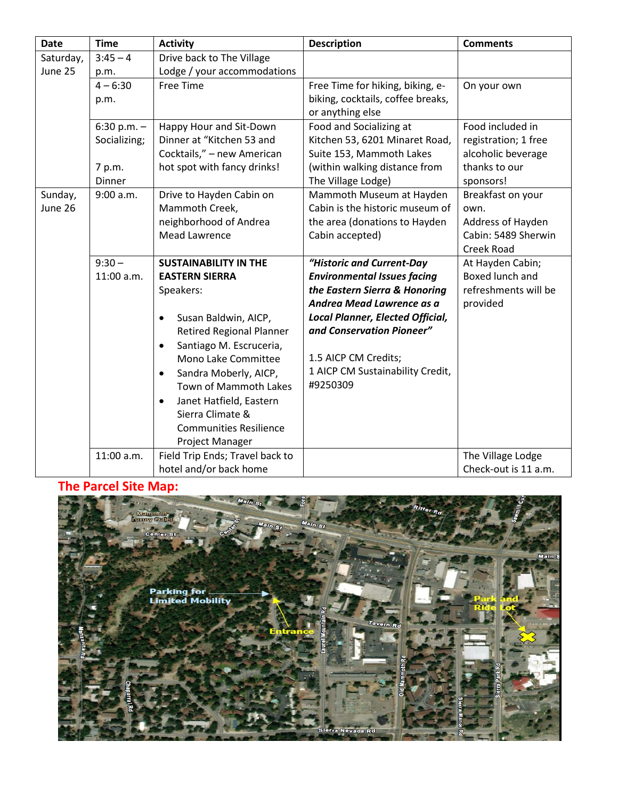| <b>Date</b> | <b>Time</b>   | <b>Activity</b>                      | <b>Description</b>                      | <b>Comments</b>      |
|-------------|---------------|--------------------------------------|-----------------------------------------|----------------------|
| Saturday,   | $3:45 - 4$    | Drive back to The Village            |                                         |                      |
| June 25     | p.m.          | Lodge / your accommodations          |                                         |                      |
|             | $4 - 6:30$    | Free Time                            | Free Time for hiking, biking, e-        | On your own          |
|             | p.m.          |                                      | biking, cocktails, coffee breaks,       |                      |
|             |               |                                      | or anything else                        |                      |
|             | 6:30 p.m. $-$ | Happy Hour and Sit-Down              | Food and Socializing at                 | Food included in     |
|             | Socializing;  | Dinner at "Kitchen 53 and            | Kitchen 53, 6201 Minaret Road,          | registration; 1 free |
|             |               | Cocktails," - new American           | Suite 153, Mammoth Lakes                | alcoholic beverage   |
|             | 7 p.m.        | hot spot with fancy drinks!          | (within walking distance from           | thanks to our        |
|             | Dinner        |                                      | The Village Lodge)                      | sponsors!            |
| Sunday,     | 9:00 a.m.     | Drive to Hayden Cabin on             | Mammoth Museum at Hayden                | Breakfast on your    |
| June 26     |               | Mammoth Creek,                       | Cabin is the historic museum of         | own.                 |
|             |               | neighborhood of Andrea               | the area (donations to Hayden           | Address of Hayden    |
|             |               | <b>Mead Lawrence</b>                 | Cabin accepted)                         | Cabin: 5489 Sherwin  |
|             |               |                                      |                                         | <b>Creek Road</b>    |
|             | $9:30 -$      | <b>SUSTAINABILITY IN THE</b>         | "Historic and Current-Day               | At Hayden Cabin;     |
|             | 11:00 a.m.    | <b>EASTERN SIERRA</b>                | <b>Environmental Issues facing</b>      | Boxed lunch and      |
|             |               | Speakers:                            | the Eastern Sierra & Honoring           | refreshments will be |
|             |               |                                      | Andrea Mead Lawrence as a               | provided             |
|             |               | Susan Baldwin, AICP,<br>$\bullet$    | <b>Local Planner, Elected Official,</b> |                      |
|             |               | <b>Retired Regional Planner</b>      | and Conservation Pioneer"               |                      |
|             |               | Santiago M. Escruceria,<br>$\bullet$ |                                         |                      |
|             |               | Mono Lake Committee                  | 1.5 AICP CM Credits;                    |                      |
|             |               | Sandra Moberly, AICP,<br>$\bullet$   | 1 AICP CM Sustainability Credit,        |                      |
|             |               | Town of Mammoth Lakes                | #9250309                                |                      |
|             |               | Janet Hatfield, Eastern<br>$\bullet$ |                                         |                      |
|             |               | Sierra Climate &                     |                                         |                      |
|             |               | <b>Communities Resilience</b>        |                                         |                      |
|             |               | Project Manager                      |                                         |                      |
|             | 11:00 a.m.    | Field Trip Ends; Travel back to      |                                         | The Village Lodge    |
|             |               | hotel and/or back home               |                                         | Check-out is 11 a.m. |

## **The Parcel Site Map:**

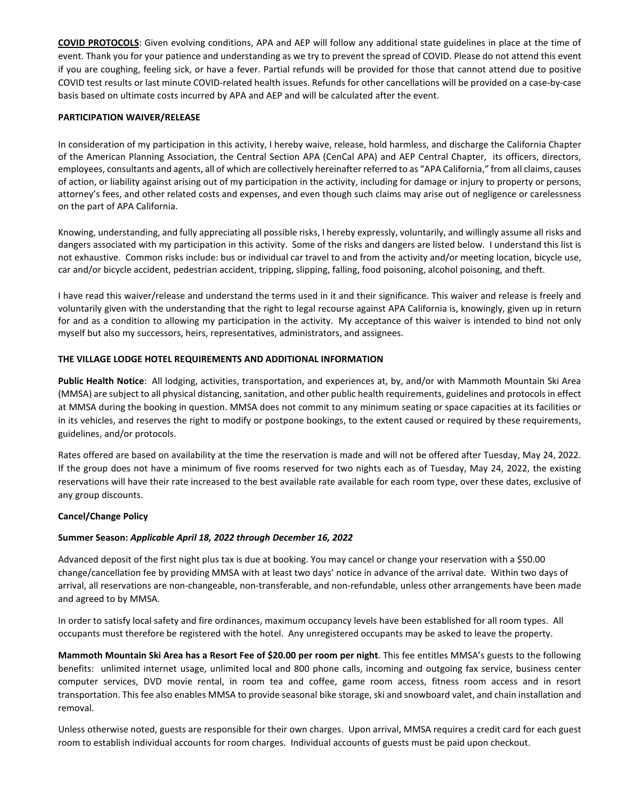**COVID PROTOCOLS**: Given evolving conditions, APA and AEP will follow any additional state guidelines in place at the time of event. Thank you for your patience and understanding as we try to prevent the spread of COVID. Please do not attend this event if you are coughing, feeling sick, or have a fever. Partial refunds will be provided for those that cannot attend due to positive COVID test results or last minute COVID-related health issues. Refunds for other cancellations will be provided on a case-by-case basis based on ultimate costs incurred by APA and AEP and will be calculated after the event.

#### **PARTICIPATION WAIVER/RELEASE**

In consideration of my participation in this activity, I hereby waive, release, hold harmless, and discharge the California Chapter of the American Planning Association, the Central Section APA (CenCal APA) and AEP Central Chapter, its officers, directors, employees, consultants and agents, all of which are collectively hereinafter referred to as "APA California," from all claims, causes of action, or liability against arising out of my participation in the activity, including for damage or injury to property or persons, attorney's fees, and other related costs and expenses, and even though such claims may arise out of negligence or carelessness on the part of APA California.

Knowing, understanding, and fully appreciating all possible risks, I hereby expressly, voluntarily, and willingly assume all risks and dangers associated with my participation in this activity. Some of the risks and dangers are listed below. I understand this list is not exhaustive. Common risks include: bus or individual car travel to and from the activity and/or meeting location, bicycle use, car and/or bicycle accident, pedestrian accident, tripping, slipping, falling, food poisoning, alcohol poisoning, and theft.

I have read this waiver/release and understand the terms used in it and their significance. This waiver and release is freely and voluntarily given with the understanding that the right to legal recourse against APA California is, knowingly, given up in return for and as a condition to allowing my participation in the activity. My acceptance of this waiver is intended to bind not only myself but also my successors, heirs, representatives, administrators, and assignees.

#### **THE VILLAGE LODGE HOTEL REQUIREMENTS AND ADDITIONAL INFORMATION**

**Public Health Notice**: All lodging, activities, transportation, and experiences at, by, and/or with Mammoth Mountain Ski Area (MMSA) are subject to all physical distancing, sanitation, and other public health requirements, guidelines and protocols in effect at MMSA during the booking in question. MMSA does not commit to any minimum seating or space capacities at its facilities or in its vehicles, and reserves the right to modify or postpone bookings, to the extent caused or required by these requirements, guidelines, and/or protocols.

Rates offered are based on availability at the time the reservation is made and will not be offered after Tuesday, May 24, 2022. If the group does not have a minimum of five rooms reserved for two nights each as of Tuesday, May 24, 2022, the existing reservations will have their rate increased to the best available rate available for each room type, over these dates, exclusive of any group discounts.

#### **Cancel/Change Policy**

#### **Summer Season:** *Applicable April 18, 2022 through December 16, 2022*

Advanced deposit of the first night plus tax is due at booking. You may cancel or change your reservation with a \$50.00 change/cancellation fee by providing MMSA with at least two days' notice in advance of the arrival date. Within two days of arrival, all reservations are non-changeable, non-transferable, and non-refundable, unless other arrangements have been made and agreed to by MMSA.

In order to satisfy local safety and fire ordinances, maximum occupancy levels have been established for all room types. All occupants must therefore be registered with the hotel. Any unregistered occupants may be asked to leave the property.

**Mammoth Mountain Ski Area has a Resort Fee of \$20.00 per room per night**. This fee entitles MMSA's guests to the following benefits: unlimited internet usage, unlimited local and 800 phone calls, incoming and outgoing fax service, business center computer services, DVD movie rental, in room tea and coffee, game room access, fitness room access and in resort transportation. This fee also enables MMSA to provide seasonal bike storage, ski and snowboard valet, and chain installation and removal.

Unless otherwise noted, guests are responsible for their own charges. Upon arrival, MMSA requires a credit card for each guest room to establish individual accounts for room charges. Individual accounts of guests must be paid upon checkout.